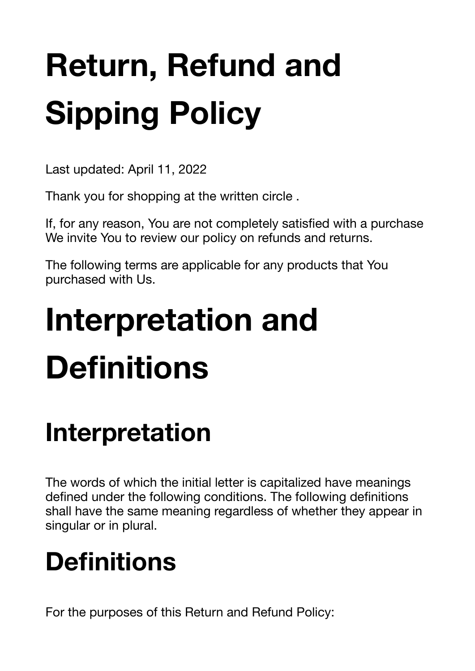# **Return, Refund and Sipping Policy**

Last updated: April 11, 2022

Thank you for shopping at the written circle .

If, for any reason, You are not completely satisfied with a purchase We invite You to review our policy on refunds and returns.

The following terms are applicable for any products that You purchased with Us.

# **Interpretation and Definitions**

### **Interpretation**

The words of which the initial letter is capitalized have meanings defined under the following conditions. The following definitions shall have the same meaning regardless of whether they appear in singular or in plural.

### **Definitions**

For the purposes of this Return and Refund Policy: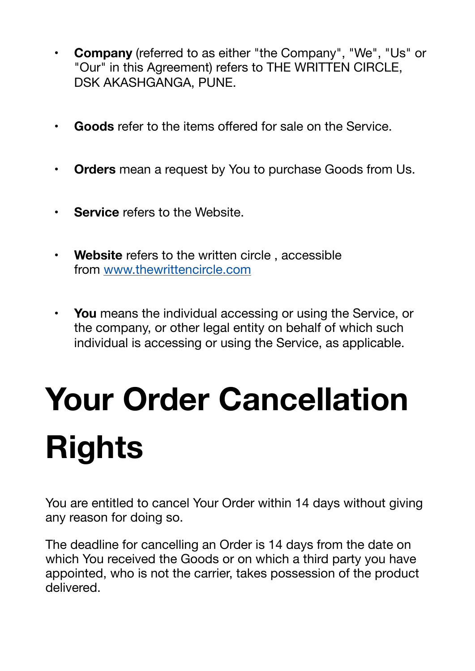- **• Company** (referred to as either "the Company", "We", "Us" or "Our" in this Agreement) refers to THE WRITTEN CIRCLE, DSK AKASHGANGA, PUNE.
- **• Goods** refer to the items offered for sale on the Service.
- **• Orders** mean a request by You to purchase Goods from Us.
- **Service** refers to the Website.
- **• Website** refers to the written circle , accessible from [www.thewrittencircle.com](https://www.termsfeed.com/live/www.thewrittencircle.com)
- **• You** means the individual accessing or using the Service, or the company, or other legal entity on behalf of which such individual is accessing or using the Service, as applicable.

# **Your Order Cancellation Rights**

You are entitled to cancel Your Order within 14 days without giving any reason for doing so.

The deadline for cancelling an Order is 14 days from the date on which You received the Goods or on which a third party you have appointed, who is not the carrier, takes possession of the product delivered.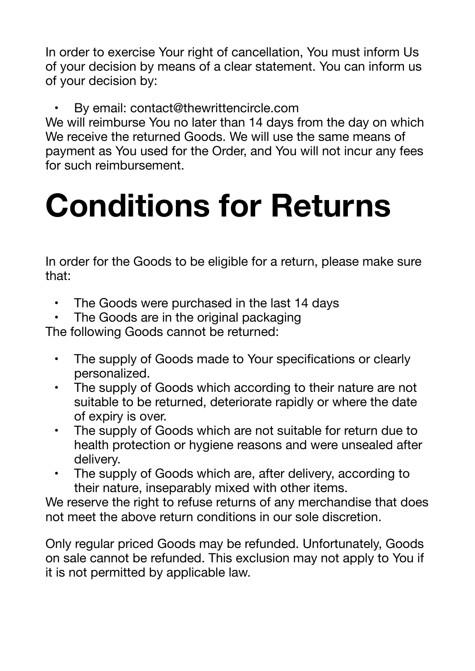In order to exercise Your right of cancellation, You must inform Us of your decision by means of a clear statement. You can inform us of your decision by:

By email: contact@thewrittencircle.com

We will reimburse You no later than 14 days from the day on which We receive the returned Goods. We will use the same means of payment as You used for the Order, and You will not incur any fees for such reimbursement.

## **Conditions for Returns**

In order for the Goods to be eligible for a return, please make sure that:

- The Goods were purchased in the last 14 days
- The Goods are in the original packaging

The following Goods cannot be returned:

- The supply of Goods made to Your specifications or clearly personalized.
- The supply of Goods which according to their nature are not suitable to be returned, deteriorate rapidly or where the date of expiry is over.
- The supply of Goods which are not suitable for return due to health protection or hygiene reasons and were unsealed after delivery.
- The supply of Goods which are, after delivery, according to their nature, inseparably mixed with other items.

We reserve the right to refuse returns of any merchandise that does not meet the above return conditions in our sole discretion.

Only regular priced Goods may be refunded. Unfortunately, Goods on sale cannot be refunded. This exclusion may not apply to You if it is not permitted by applicable law.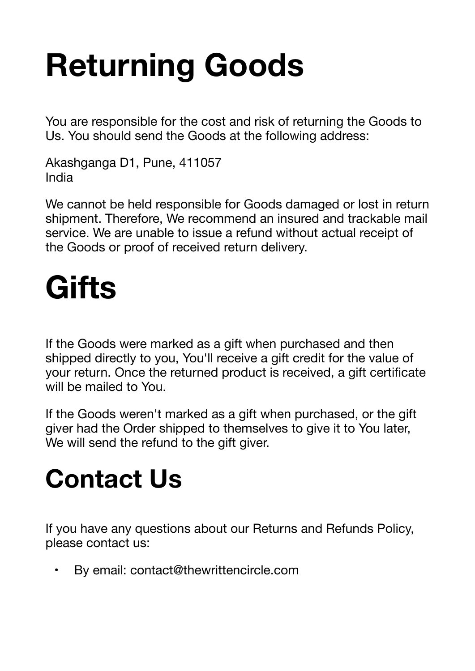## **Returning Goods**

You are responsible for the cost and risk of returning the Goods to Us. You should send the Goods at the following address:

Akashganga D1, Pune, 411057 India

We cannot be held responsible for Goods damaged or lost in return shipment. Therefore, We recommend an insured and trackable mail service. We are unable to issue a refund without actual receipt of the Goods or proof of received return delivery.

## **Gifts**

If the Goods were marked as a gift when purchased and then shipped directly to you, You'll receive a gift credit for the value of your return. Once the returned product is received, a gift certificate will be mailed to You.

If the Goods weren't marked as a gift when purchased, or the gift giver had the Order shipped to themselves to give it to You later, We will send the refund to the gift giver.

### **Contact Us**

If you have any questions about our Returns and Refunds Policy, please contact us:

By email: contact@thewrittencircle.com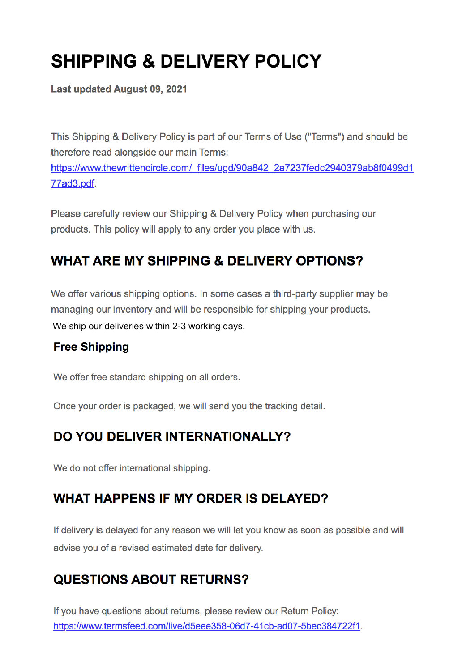### **SHIPPING & DELIVERY POLICY**

**Last updated August 09, 2021** 

This Shipping & Delivery Policy is part of our Terms of Use ("Terms") and should be therefore read alongside our main Terms: https://www.thewrittencircle.com/ files/ugd/90a842 2a7237fedc2940379ab8f0499d1 77ad3.pdf.

Please carefully review our Shipping & Delivery Policy when purchasing our products. This policy will apply to any order you place with us.

#### **WHAT ARE MY SHIPPING & DELIVERY OPTIONS?**

We offer various shipping options. In some cases a third-party supplier may be managing our inventory and will be responsible for shipping your products. We ship our deliveries within 2-3 working days.

#### **Free Shipping**

We offer free standard shipping on all orders.

Once your order is packaged, we will send you the tracking detail.

#### DO YOU DELIVER INTERNATIONALLY?

We do not offer international shipping.

#### **WHAT HAPPENS IF MY ORDER IS DELAYED?**

If delivery is delayed for any reason we will let you know as soon as possible and will advise you of a revised estimated date for delivery.

#### **QUESTIONS ABOUT RETURNS?**

If you have questions about returns, please review our Return Policy: https://www.termsfeed.com/live/d5eee358-06d7-41cb-ad07-5bec384722f1.